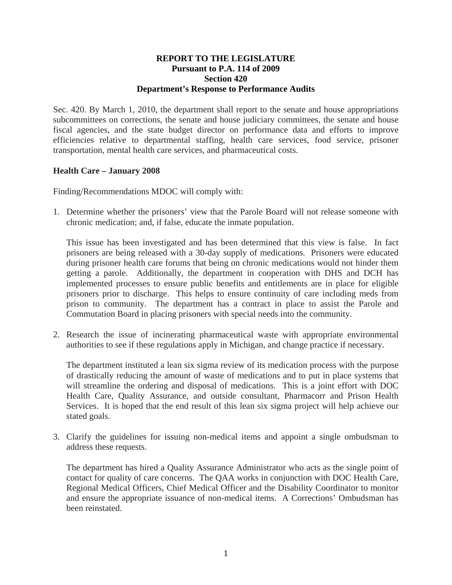### **REPORT TO THE LEGISLATURE Pursuant to P.A. 114 of 2009 Section 420 Department's Response to Performance Audits**

Sec. 420. By March 1, 2010, the department shall report to the senate and house appropriations subcommittees on corrections, the senate and house judiciary committees, the senate and house fiscal agencies, and the state budget director on performance data and efforts to improve efficiencies relative to departmental staffing, health care services, food service, prisoner transportation, mental health care services, and pharmaceutical costs.

# **Health Care – January 2008**

Finding/Recommendations MDOC will comply with:

1. Determine whether the prisoners' view that the Parole Board will not release someone with chronic medication; and, if false, educate the inmate population.

This issue has been investigated and has been determined that this view is false. In fact prisoners are being released with a 30-day supply of medications. Prisoners were educated during prisoner health care forums that being on chronic medications would not hinder them getting a parole. Additionally, the department in cooperation with DHS and DCH has implemented processes to ensure public benefits and entitlements are in place for eligible prisoners prior to discharge. This helps to ensure continuity of care including meds from prison to community. The department has a contract in place to assist the Parole and Commutation Board in placing prisoners with special needs into the community.

2. Research the issue of incinerating pharmaceutical waste with appropriate environmental authorities to see if these regulations apply in Michigan, and change practice if necessary.

The department instituted a lean six sigma review of its medication process with the purpose of drastically reducing the amount of waste of medications and to put in place systems that will streamline the ordering and disposal of medications. This is a joint effort with DOC Health Care, Quality Assurance, and outside consultant, Pharmacorr and Prison Health Services. It is hoped that the end result of this lean six sigma project will help achieve our stated goals.

3. Clarify the guidelines for issuing non-medical items and appoint a single ombudsman to address these requests.

The department has hired a Quality Assurance Administrator who acts as the single point of contact for quality of care concerns. The QAA works in conjunction with DOC Health Care, Regional Medical Officers, Chief Medical Officer and the Disability Coordinator to monitor and ensure the appropriate issuance of non-medical items. A Corrections' Ombudsman has been reinstated.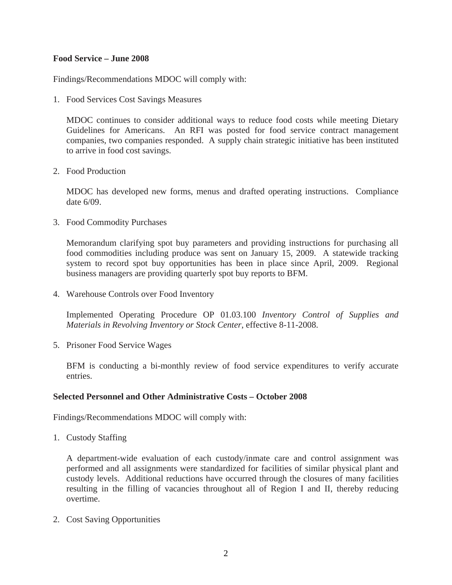## **Food Service – June 2008**

Findings/Recommendations MDOC will comply with:

1. Food Services Cost Savings Measures

MDOC continues to consider additional ways to reduce food costs while meeting Dietary Guidelines for Americans. An RFI was posted for food service contract management companies, two companies responded. A supply chain strategic initiative has been instituted to arrive in food cost savings.

2. Food Production

MDOC has developed new forms, menus and drafted operating instructions. Compliance date 6/09.

3. Food Commodity Purchases

Memorandum clarifying spot buy parameters and providing instructions for purchasing all food commodities including produce was sent on January 15, 2009. A statewide tracking system to record spot buy opportunities has been in place since April, 2009. Regional business managers are providing quarterly spot buy reports to BFM.

4. Warehouse Controls over Food Inventory

Implemented Operating Procedure OP 01.03.100 *Inventory Control of Supplies and Materials in Revolving Inventory or Stock Center*, effective 8-11-2008.

5. Prisoner Food Service Wages

BFM is conducting a bi-monthly review of food service expenditures to verify accurate entries.

### **Selected Personnel and Other Administrative Costs – October 2008**

Findings/Recommendations MDOC will comply with:

1. Custody Staffing

A department-wide evaluation of each custody/inmate care and control assignment was performed and all assignments were standardized for facilities of similar physical plant and custody levels. Additional reductions have occurred through the closures of many facilities resulting in the filling of vacancies throughout all of Region I and II, thereby reducing overtime.

2. Cost Saving Opportunities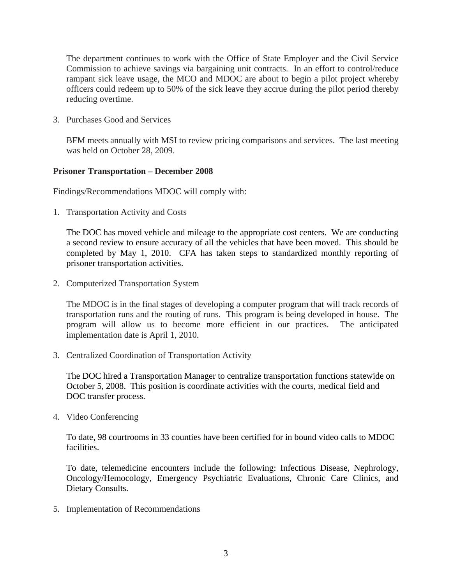The department continues to work with the Office of State Employer and the Civil Service Commission to achieve savings via bargaining unit contracts. In an effort to control/reduce rampant sick leave usage, the MCO and MDOC are about to begin a pilot project whereby officers could redeem up to 50% of the sick leave they accrue during the pilot period thereby reducing overtime.

3. Purchases Good and Services

BFM meets annually with MSI to review pricing comparisons and services. The last meeting was held on October 28, 2009.

# **Prisoner Transportation – December 2008**

Findings/Recommendations MDOC will comply with:

1. Transportation Activity and Costs

The DOC has moved vehicle and mileage to the appropriate cost centers. We are conducting a second review to ensure accuracy of all the vehicles that have been moved. This should be completed by May 1, 2010. CFA has taken steps to standardized monthly reporting of prisoner transportation activities.

2. Computerized Transportation System

The MDOC is in the final stages of developing a computer program that will track records of transportation runs and the routing of runs. This program is being developed in house. The program will allow us to become more efficient in our practices. The anticipated implementation date is April 1, 2010.

3. Centralized Coordination of Transportation Activity

The DOC hired a Transportation Manager to centralize transportation functions statewide on October 5, 2008. This position is coordinate activities with the courts, medical field and DOC transfer process.

4. Video Conferencing

To date, 98 courtrooms in 33 counties have been certified for in bound video calls to MDOC facilities.

To date, telemedicine encounters include the following: Infectious Disease, Nephrology, Oncology/Hemocology, Emergency Psychiatric Evaluations, Chronic Care Clinics, and Dietary Consults.

5. Implementation of Recommendations